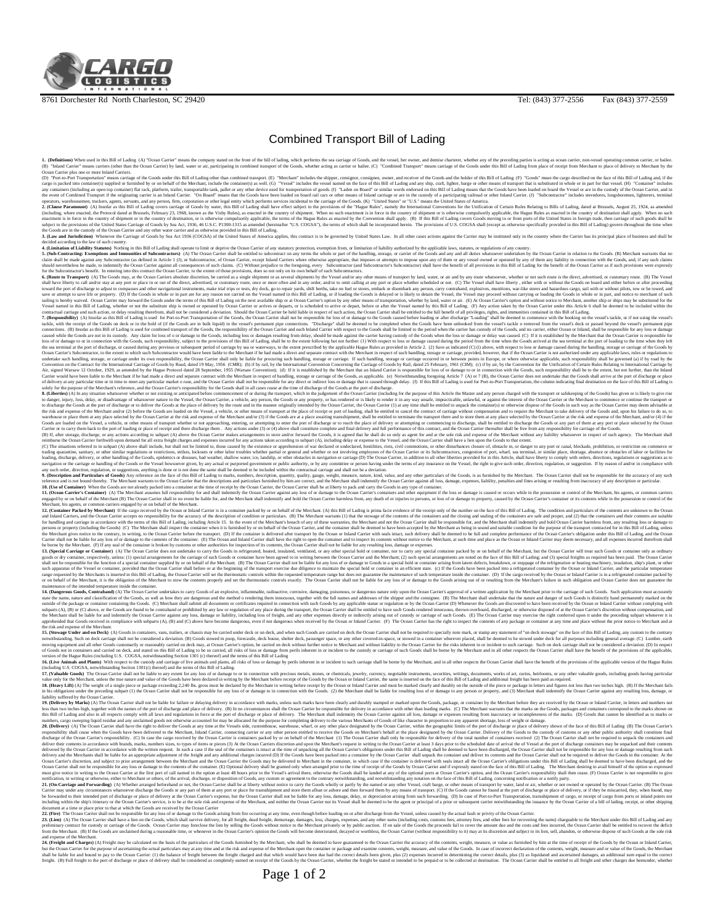## Page 1 of 2

liability suffered by the Ocean Carrier. **19. (Delivery by Marks)** (A) The Ocean Carrier shall not be liable for failure or delaying delivery in accordance with marks, unless such marks have been clearly and durably stamped or marked upon the Goods, package, or container by the Merchant before they are received by the Ocean or Inland Carrier, in letters and numbers not less than two inches high, together with the names of the port of discharge and place of delivery. (B) In no circumstances shall the Ocean Carrier be responsible for delivery in accordance with other than leading marks. (C) The Merchant warrants that the marks on the Goods, packages and containers correspond to the marks shown on this Bill of Lading and also in all respects comply with all laws and regulations in force at the port of discharge or place of delivery. The Merchant shall indemnity the Ocean Carrier against all loss, damage or expenses resulting from inaccuracy or incompleteness of the marks. (D) Goods that cannot be identified as to marks or numbers, cargo sweeping liquid residue and any unclaimed goods not otherwise accounted for may be allocated for the purpose for completing delivery to the various Merchants of Goods of like character in proportion to any apparent shortage, loss of weight or damage. **20. (Delivery)** (A) The Ocean Carrier shall have the right to deliver the Goods at any time at the Vessels side, customhouse, warehouse, wharf, or any other place designated by the Ocean Carrier, within the geographic limits of the port of discharge or place of delivery shown of the face of this Bill of Lading (B) The Ocean Carrier's responsibility shall cease when the Goods have been delivered to the Merchant, Inland Carrier, connecting carrier or any other person entitled to receive the Goods on Merchant's behalf at the place designated by the Ocean Carrier. Delivery of the Goods to the custody of customs or any other public authority shall constitute final discharge of the Ocean Carrier's responsibility. (C) In case the cargo received by the Ocean Carrier is containers packed by or on behalf of the Merchant (1) The Ocean Carrier shall only be responsible for delivery of the total number of containers received (2) The Ocean Carrier shall not be required to unpack the containers and deliver their contents in accordance with brands, marks, numbers sizes, to types of items or pieces (3) At the Ocean Carriers discretion and upon the Merchant's request in writing to the Ocean Carrier at least 3 days prior to the scheduled date of arrival the of Vessel at the port of discharge containers may be unpacked and their contents delivered by the Ocean Carrier in accordance with the written request. In such a case if the seal of the containers is intact at the time of unpacking all the Ocean Carrier's obligations under this Bill of Lading shall be deemed to have been discharged, the Ocean Carrier shall not be responsible for any loss or damage resulting from such delivery and the Merchants shall be liable for an appropriate adjustment of the freight and any additional charges incurred (D) If the Goods have been packed into a container by the Ocean Carrier shall unpack the container and deliver its contents and the Ocean Carrier shall not be required to deliver the Goods in the container. At the Ocean Carrier's discretion, and subject to prior arrangement between the Merchant and the Ocean Carrier the Goods may be delivered to Merchant in the container, in which case if the container is delivered with seals intact all the Ocean Carrier's obligations under this Bill of Lading shall be deemed to have been discharged, and the Ocean Carrier shall not be responsible for any loss or damage to the contents of the container. (E) Optional delivery shall be granted only when arranged prior to the time of receipt of the Goods by Ocean Carrier and if expressly stated on the face of this Bill of Lading. The Merchant desiring to avail himself of the option so expressed must give notice in writing to the Ocean Carrier at the first port of call named in the option at least 48 hours prior to the Vessel's arrival there, otherwise the Goods shall be landed at any of the optional ports at Ocean Carrier's option, and the Ocean Carrier's responsibility shall then cease. (F) Ocean Carrier is not responsible to give notification, in writing or otherwise, either to Merchant or others, of the arrival, discharge, or disposition of Goods, any custom or agreement to the contrary notwithstanding, and notwithstanding any notation on the face of this Bill of Lading, concerning notification or a notify party. **21. (On-Carriage and Forwarding)** (A) Whether arranged beforehand or not, the Ocean Carrier shall be at liberty without notice to carry the Goods wholly or partly by the named or any other Vessel, craft barge, or other means of transport by water, land or air, whether or not owned or operated by the Ocean Carrier. (B) The Ocean Carrier may under any circumstances whatsoever discharge the Goods or any part of them at any port or place for transshipment and store them afloat or ashore and then forward them by any means of transport. (C) If the Goods cannot be found at the port of discharge or place of delivery, or if they be miscarried, they, when found, may be forwarded to their intended port of discharge or place of delivery at the Ocean Carrier's expense, but the Ocean Carrier shall not be liable for any loss, damage, delay, or depreciation arising from such forwarding. (D) In case of Port-to-Port Transportation, transshipment of cargo, or receipt of cargo from ports or inland points not including within the ship's itinerary or the Ocean Carrier's service, is to be at the sole risk and expense of the Merchant, and neither the Ocean Carrier not its Vessel shall be deemed to be the agent or principal of a prior or subsequent carrier notwithstanding the issuance by the Ocean Carrier of a bill of lading, receipt, or other shipping document at a time or place prior to that at which the Goods are received by the Ocean Carrier **22. (Fire)** The Ocean Carrier shall not be responsible for any loss of or damage to the Goods arising from fire occurring at any time, even though before loading on or after discharge from the Vessel, unless caused by the actual fault or privity of the Ocean Carrier. **23. (Lien)** (A) The Ocean Carrier shall have a lien on the Goods, which shall survive delivery, for all freight, dead freight, demurrage, damages, loss, charges, expenses, and any other sums (including costs, customs fees, attorney fees, and other fees for recovering the sums) chargeable to the Merchant under this Bill of Lading and any preliminary contract for custody or carriage of the Goods. Ocean Carrier may foreclose the lien by selling the Goods without notice to the Merchant privately or by public auction. If on sale of the Goods the proceeds fail to cover the amount due and the costs and fees incurred, the Ocean Carrier shall be entitled to recover the deficit from the Merchant. (B) If the Goods are unclaimed during a reasonable time, or whenever in the Ocean Carrier's opinion the Goods will become deteriorated, decayed or worthless, the Ocean Carrier (without responsibility to it) may at its discretion and subject to its lien, sell, abandon, or otherwise dispose of such Goods at the sole risk and expense of the Merchant. **24. (Freight and Charges)** (A) Freight may be calculated on the basis of the particulars of the Goods furnished by the Merchant, who shall be deemed to have guaranteed to the Ocean Carrier the accuracy of the contents, weight, measure, or value as furnished by him at the time of receipt of the Goods by the Ocean or Inland Carrier, but the Ocean Carrier for the purpose of ascertaining the actual particulars may at any time and at the risk and expense of the Merchant open the container or package and examine contents, weight, measure, and value of the Goods. In case of incorrect declaration of the contents, weight, measure and or value of the Goods, the Merchant shall be liable for and bound to pay to the Ocean Carrier: (1) the balance of freight between the freight charged and that which would have been due had the correct details been given, plus (2) expenses incurred in determining the correct details, plus (3) as liquidated and ascertained damages, an additional sum equal to the correct freight. (B) Full freight to the port of discharge or place of delivery shall be considered as completely earned on receipt of the Goods by the Ocean Carrier, whether the freight be stated or intended to be prepaid or to be collected at destination. The Ocean Carrier shall be entitled to all freight and other charges due hereunder, whether

15. (Slowage Under and on Deck) (A) Goods in containers, wan, trailers, or classin my be carried node eleck on deck, and when such of coloods. and when when we be elect, and in a be the considered a period of specifical pa

maintenances of the intended cmperature inside the constance, main error intensity. (and (a) and (C) above have become dimensions, event intended the redivent space of the intended the main error of the container of the co

Carrier shall not be liable for any loss of ordinary and all noteros of the constant of the constant of the constant of the constant of the Merchanical carrier shall not be have the right to open be anote the minima and no

claim shall be made against any Subcontractor (as defined in Article 1 (J), or Subcontractor, of Ocean Carrier, except Inland Carriers where otherwise appropriate, that imposes or attempts to impose upon any of them or any vessel owned or operated by any of them any liability in connection with the Goods, and, if any such claims should nevertheless be made, to indemnify the Ocean Carrier against all consequences of such claims. (C) Without prejudice to the foregoing, every Subcontractor (and Subcontractor's Subcontractor) shall have the benefit of all provisions in this Bill of Lading for the benefit of the Ocean Carrier as if such provisions were expressly for the Subcontractor's benefit. In entering into this contract the Ocean Carrier, to the extent of those provisions, does so not only on its own behalf of such Subcontractors. **6. (Route to Transport)** (A) The Goods may, at the Ocean Carriers absolute discretion, be carried as a single shipment or as several shipments by the Vessel and/or any other means of transport by land, water, or air and by any route whatsoever, whether or not such route is the direct, advertised, or customary route. (B) The Vessel shall have liberty to call and/or stay at any port or place in or out of the direct, advertised, or customary route, once or more often and in any order, and/or to omit calling at any port or place whether scheduled or not. (C) The Vessel shall have liberty , either with or without the Goods on board and either before or after proceeding toward the port of discharge to adjust to compasses and other navigational instruments, make trial trips or tests, dry dock, go to repair yards, shift berths, take on fuel or stores, embark or disembark any person, carry contraband, explosives, munitions, war-like stores and hazardous cargo, sail with or without pilots, tow or be towed, and save or attempt to save life or property. (D) If the Goods in whole or in part are for any reason not carried on the Vessel named in this Bill of Lading, or if loading the Goods is delayed or is likely to detain the Vessel, the Vessel may proceed without carrying or loading the Goods in whole or in part, and notice to merchant of such sailing is hereby waived. Ocean Carrier may forward the Goods under the terms of this Bill of Lading on the next available ship or at Ocean Carrier's option by any other means of transportation, whether by land, water or air. (E) At Ocean Carrier's option and without notice to Merchant, another ship or ships may be substituted for the Vessel named in this Bill of Lading, whether or not the substitute ship is owned or operated by Ocean Carrier or arrives or departs, or is scheduled to arrive or depart, before or after the Vessel named by this Bill of Lading. (F) Any action taken by the Ocean Carrier under this Article 6 shall be deemed to be included within the contractual carriage and such action, or delay resulting therefrom, shall not be considered a deviation. Should the Ocean Carrier be held liable in respect of such action, the Ocean Carrier shall be entitled to the full benefit of all privileges, rights, and immunities contained in this Bill of Lading. **7. (Responsibility)** (A) Insofar as this Bill of Lading is used for Port-to-Port Transportation of the Goods, the Ocean Carrier shall not be responsible for loss of or damage to the Goods caused before loading or after discharge "Loading" shall be deemed to commence with the hooking on the vessel's tackle, or if not using the vessel's tackle, with the receipt of the Goods on deck or in the hold of (if the Goods are in bulk liquid) in the vessel's permanent pipe connections. "Discharge" shall be deemed to be completed when the Goods have been unhooked from the vessel's tackle o removed from the vessel's deck or passed beyond the vessel's permanent pipe connections. (B) Insofar as this Bill of Lading is used for combined transport of the Goods, the responsibility of the Ocean Carrier and each Inland Carrier with respect to the Goods shall be limited to the period when the carrier has custody of the Goods, and no carrier, either Ocean or Inland, shall be responsible for any loss or damage caused while the Goods are not in its custody. Any claim for loss of o or damage to the Goods, including loss or damages resulting from delay, should be made against the carrier having custody of the Goods when the loss or damage or delay was caused. (C) If it is established by the Merchant that the Ocean Carrier is responsible for loss of or damage to or in connection with the Goods, such responsibility, subject to the provisions of this Bill of Lading, shall be to the extent following but not further: (1) With respect to loss or damage caused during the period from the time when the Goods arrived at the sea terminal at the port of loading to the time when they left the sea terminal at the port of discharge, or caused during any previous or subsequent period of carriage by sea or waterways, to the extent prescribed by the applicable Hague Rules as provided in Article 2. (2) Save as indicated (C) (i) above, with respect to loss or damage caused during the handling, storage or carriage of the Goods by Ocean Carrier's Subcontractor, to the extent to which such Subcontractor would have been liable to the Merchant if he had made a direct and separate contract with the Merchant in respect of such handling, storage or carriage, provided, however, that if the Ocean Carrier is not authorized under any applicable laws, rules or regulations to undertake such handling, storage, or carriage under its own responsibility, the Ocean Carrier shall only be liable for procuring such handling, storage or carriage. If such handling, storage or carriage occurred in or between points in Europe, or where otherwise applicable, such responsibility shall be governed (a) if by road by the Convention on the Contract for the International Carriage of Goods by Road, dated 19 May, 1956 (CMR); (b) if by rail, by the International Convention Concerning the Carriage of Goods by Rail, dated 25 February, 1961 (CIM); (c) if by air, by the Convention for the Unification of Certain Rules Relating to International Carriage by Air, signed Warsaw 12 October, 1929, as amended by the Hague Protocol dated 28 September, 1955 (Warsaw Convention); (d) If it is established by the Merchant that an Inland Carrier is responsible for loss of or damage to or in connection with the Goods, such responsibility shall be to the extent, but not further, than the Inland Carrier would have been liable to the Merchant if he had made a direct and separate contract with the Merchant in respect of handling, storage or carriage of the Goods, as applicable. (e) Notwithstanding foregoing Article 7 (A) or 7 (B), the Ocean Carrier does not undertake that the Goods shall arrive at the port of discharge or place of delivery at any particular time or in time to meet any particular market o ruse, and the Ocean Carrier shall not be responsible for any direct or indirect loss or damage that is caused through delay. (f) If this Bill of Lading is used for Port-to-Port Transportation, the column indicating final destination on the face of this Bill of Lading is solely for the purpose of the Merchant's reference, and the Ocean Carrier's responsibility for the Goods shall in all cases cease at the time of discharge of the Goods at the port of discharge. **8. (Liberties)** (A) In any situation whatsoever whether or not existing or anticipated before commencement of or during the transport, which in the judgement of the Ocean Carrier (including for the purpose of this Article the Master and any person charged with the transport or safekeeping of the Goods) has given or is likely to give rise to danger, injury, loss, delay, or disadvantage of whatsoever nature to the Vessel, the Ocean Carrier, a vehicle, any person, the Goods or any property, or has rendered or is likely to render it in any way unsafe, impracticable, unlawful, or against the interest of the Ocean Carrier or the Merchant to commence or continue the transport or to discharge the Goods at the port of discharge or to deliver the Goods at the place of delivery by the route and in the manner originally intended by the Ocean Carrier, the Ocean Carrier (1) at any time shall be entitled to unpack the container(s) or otherwise dispose of the Goods in such way as the Ocean Carrier may deem advisable at the risk and expense of the Merchant and/or (2) before the Goods are loaded on the Vessel, a vehicle, or other means of transport at the place of receipt or port of loading, shall be entitled to cancel the contract of carriage without compensation and to require the Merchant to take delivery of the Goods and, upon his failure to do so, to warehouse or place them at any place selected by the Ocean Carrier at the risk and expense of the Merchant and/or (3) if the Goods are at a place awaiting transshipment, shall be entitled to terminate the transport there and to store them at any place selected by the Ocean Carrier at the risk and expense of the Merchant, and/or (4) if the Goods are loaded on the Vessel, a vehicle, or other means of transport whether or not approaching, entering, or attempting to enter the port of discharge or to reach the place of delivery or attempting or commencing to discharge, shall be entitled to discharge the Goods or any part of them at any port or place selected by the Ocean Carrier or to carry them back to the port of loading or place of receipt and there discharge them . Any actions under (3) or (4) above shall constitute complete and final delivery and full performance of this contract, and the Ocean Carrier thereafter shall be free from any responsibility for carriage of the Goods. (B) If, after storage, discharge, or any actions according to subpart (A) above the Ocean Carrier makes arrangements to store and/or forward the Goods, it is agreed that he shall do so only as agent for and at the sole risk and expense of the Merchant without any liability whatsoever in respect of such agency. The Merchant shall reimburse the Ocean Carrier forthwith upon demand for all extra freight charges and expenses incurred for any actions taken according to subpart (A), including delay or expense to the Vessel, and the Ocean Carrier shall have a lien upon the Goods to that extent. (C) The situations referred to in subpart (A) above shall include, but shall not be limited to, those caused by the existence or apprehension of war declared or undeclared, hostilities, riots, civil commotions, or other disturbances closure of, obstacle in, or danger to any port or canal, blockade, prohibition, or restriction on commerce or trading quarantine, sanitary, or other similar regulations or restrictions, strikes, lockouts or other labor troubles whether partial or general and whether or not involving employees of the Ocean Carrier or its Subcontractors, congestion of port, wharf, sea terminal, or similar place, shortage, absence or obstacles of labor or facilities for loading, discharge, delivery, or other handling of the Goods, epidemics or diseases, bad weather, shallow water, ice, landslip, or other obstacles in navigation or carriage (D) The Ocean Carrier, in addition to all other liberties provided for in this Article, shall have liberty to comply with orders, directions, regulations or suggestions as to navigation or the carriage or handling of the Goods or the Vessel howsoever given, by any actual or purported government or public authority, or by any committee or person having under the terms of any insurance on the Vessel, the right to give such order, direction, regulation, or suggestion. If by reason of and/or in compliance with any such order, direction, regulation, or suggestions, anything is done or is not done the same shall be deemed to be included within the contractual carriage and shall not be a deviation. **9. (Description and Particulars of Goods)** Any reference on the face of this Bill of Lading to marks, numbers, description, quantity, quality, gauge, weight, measure, nature, kind, value, and any other particulars of the Goods, is as furnished by the Merchant. The Ocean Carrier shall not be responsible for the accuracy of any such reference and is not bound thereby. The Merchant warrants to the Ocean Carrier that the descriptions and particulars furnished by him are correct, and the Merchant shall indemnify the Ocean Carrier against all loss, damage, expenses, liability, penalties and fines arising or resulting from inaccuracy of any description or particular. **10. (Use of Container)** When the Goods are not already packed into a container at the time of receipt by the Ocean Carrier, the Ocean Carrier shall be at liberty to pack and carry the Goods in any type of container. **11. (Ocean Carrier's Container)** (A) The Merchant assumes full responsibility for and shall indemnify the Ocean Carrier against any loss of or damage to the Ocean Carrier's containers and other equipment if the loss or damage is caused or occurs while in the possession or control of the Merchant, his agents, or common carriers engaged by or on behalf of the Merchant (B) The Ocean Carrier shall in no event be liable for, and the Merchant shall indemnify and hold the Ocean Carrier harmless from, any death of or injuries to persons, or loss of or damage to property, caused by the Ocean Carrier's container or its contents while in the possession or control of the Merchant, his agents, or common carriers engaged by or on behalf of the Merchant. **12. (Container Packed by Merchant)** If the cargo received by the Ocean or Inland Carrier is in a container packed by or on behalf of the Merchant. (A) this Bill of Lading is prima facie evidence of the receipt only of the number on the face of this Bill of Lading. The condition and particulars of the contents are unknown to the Ocean and Inland Carriers, and the Ocean Carrier accepts no responsibility for the accuracy of the description of condition or particulars. (B) The Merchant warrants (1) that the stowage of the contents of the containers and the closing and sealing of the containers are safe and proper, and (2) that the containers and their contents are suitable for handling and carriage in accordance with the terms of this Bill of Lading, including Article 15. In the event of the Merchant's breach of any of these warranties, the Merchant and not the Ocean Carrier shall be responsible for, and the Merchant shall indemnify and hold Ocean Carrier harmless from, any resulting loss or damage to persons or property (including the Goods) (C) The Merchant shall inspect the container when it is furnished by or on behalf of the Ocean Carrier, and the container shall be deemed to have been accepted by the Merchant as being in sound and suitable condition for the purpose of the transport contracted for in this Bill of Lading, unless the Merchant gives notice to the contrary, in writing, to the Ocean Carrier before the transport. (D) If the container is delivered after transport by the Ocean or Inland Carrier with seals intact, such delivery shall be deemed to be full and complete performance of the Ocean Carrier's obligation under this Bill of Lading, and the Ocean

1. OF Thistoly Wen used in this Bill of Lading (A) "Ocean Carrier" mean the compare states (A) "Ocean Carrier" mean the orienty by land, wenter and some compared on the bill of lading when a price of the Distributed Newsta

Combined Transport Bill of Lading

**TARGO** 8761 Dorchester Rd North Charleston, SC 29420 Tel: (843) 377-2556 Fax (843) 377-2559